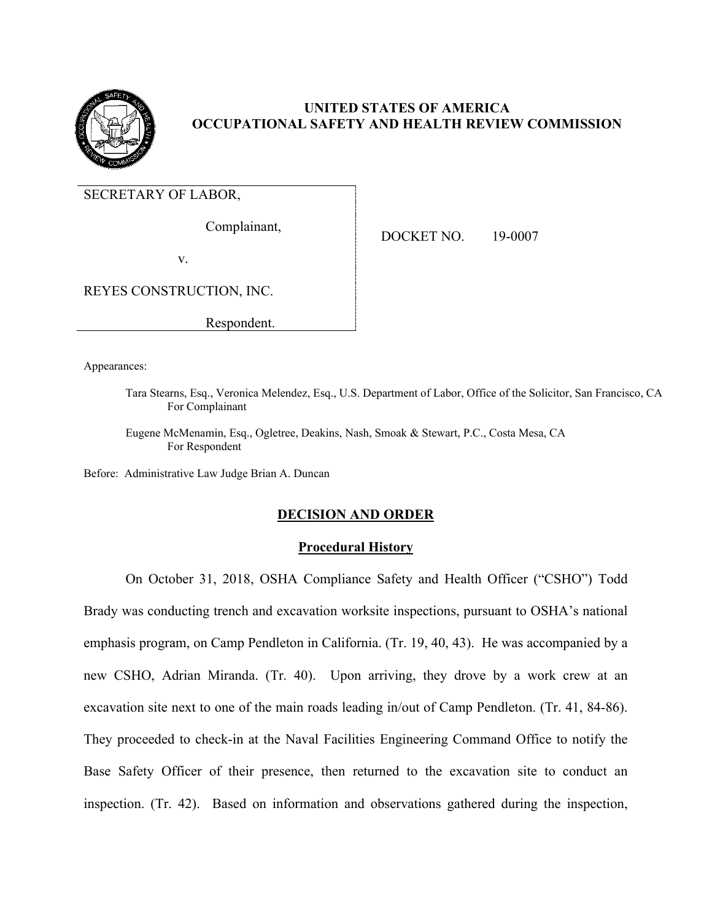

# **UNITED STATES OF AMERICA OCCUPATIONAL SAFETY AND HEALTH REVIEW COMMISSION**

SECRETARY OF LABOR,

Complainant,

DOCKET NO. 19-0007

v.

REYES CONSTRUCTION, INC.

Respondent.

Appearances:

Tara Stearns, Esq., Veronica Melendez, Esq., U.S. Department of Labor, Office of the Solicitor, San Francisco, CA For Complainant

Eugene McMenamin, Esq., Ogletree, Deakins, Nash, Smoak & Stewart, P.C., Costa Mesa, CA For Respondent

Before: Administrative Law Judge Brian A. Duncan

## **DECISION AND ORDER**

## **Procedural History**

On October 31, 2018, OSHA Compliance Safety and Health Officer ("CSHO") Todd Brady was conducting trench and excavation worksite inspections, pursuant to OSHA's national emphasis program, on Camp Pendleton in California. (Tr. 19, 40, 43). He was accompanied by a new CSHO, Adrian Miranda. (Tr. 40). Upon arriving, they drove by a work crew at an excavation site next to one of the main roads leading in/out of Camp Pendleton. (Tr. 41, 84-86). They proceeded to check-in at the Naval Facilities Engineering Command Office to notify the Base Safety Officer of their presence, then returned to the excavation site to conduct an inspection. (Tr. 42). Based on information and observations gathered during the inspection,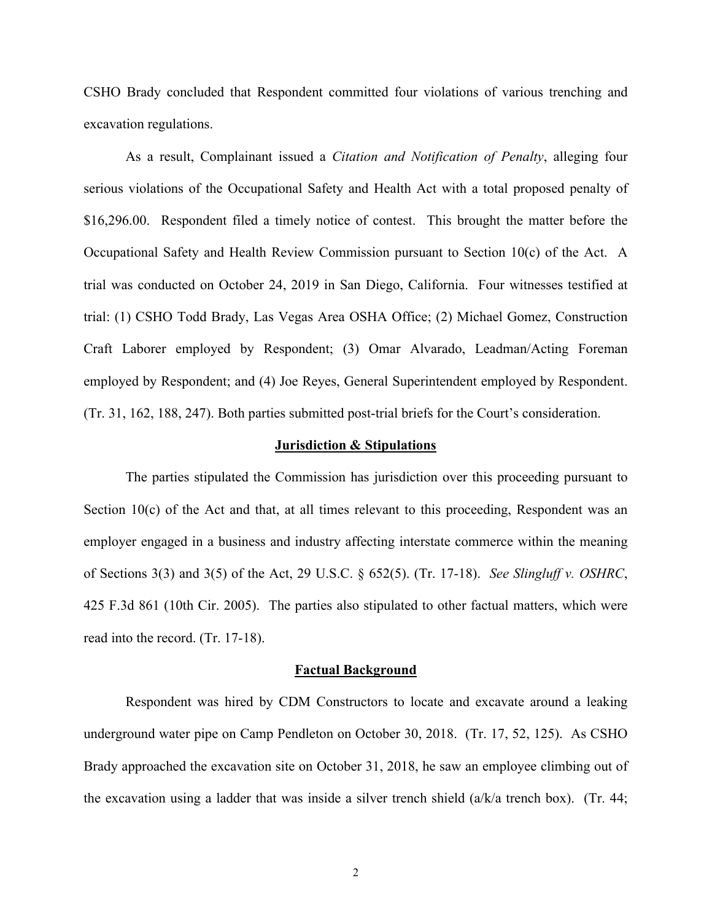CSHO Brady concluded that Respondent committed four violations of various trenching and excavation regulations.

As a result, Complainant issued a *Citation and Notification of Penalty*, alleging four serious violations of the Occupational Safety and Health Act with a total proposed penalty of \$16,296.00. Respondent filed a timely notice of contest. This brought the matter before the Occupational Safety and Health Review Commission pursuant to Section 10(c) of the Act. A trial was conducted on October 24, 2019 in San Diego, California. Four witnesses testified at trial: (1) CSHO Todd Brady, Las Vegas Area OSHA Office; (2) Michael Gomez, Construction Craft Laborer employed by Respondent; (3) Omar Alvarado, Leadman/Acting Foreman employed by Respondent; and (4) Joe Reyes, General Superintendent employed by Respondent. (Tr. 31, 162, 188, 247). Both parties submitted post-trial briefs for the Court's consideration.

#### **Jurisdiction & Stipulations**

The parties stipulated the Commission has jurisdiction over this proceeding pursuant to Section  $10(c)$  of the Act and that, at all times relevant to this proceeding, Respondent was an employer engaged in a business and industry affecting interstate commerce within the meaning of Sections 3(3) and 3(5) of the Act, 29 U.S.C. § 652(5). (Tr. 17-18). *See Slingluff v. OSHRC*, 425 F.3d 861 (10th Cir. 2005). The parties also stipulated to other factual matters, which were read into the record. (Tr. 17-18).

#### **Factual Background**

Respondent was hired by CDM Constructors to locate and excavate around a leaking underground water pipe on Camp Pendleton on October 30, 2018. (Tr. 17, 52, 125). As CSHO Brady approached the excavation site on October 31, 2018, he saw an employee climbing out of the excavation using a ladder that was inside a silver trench shield  $(a/k/a$  trench box). (Tr. 44;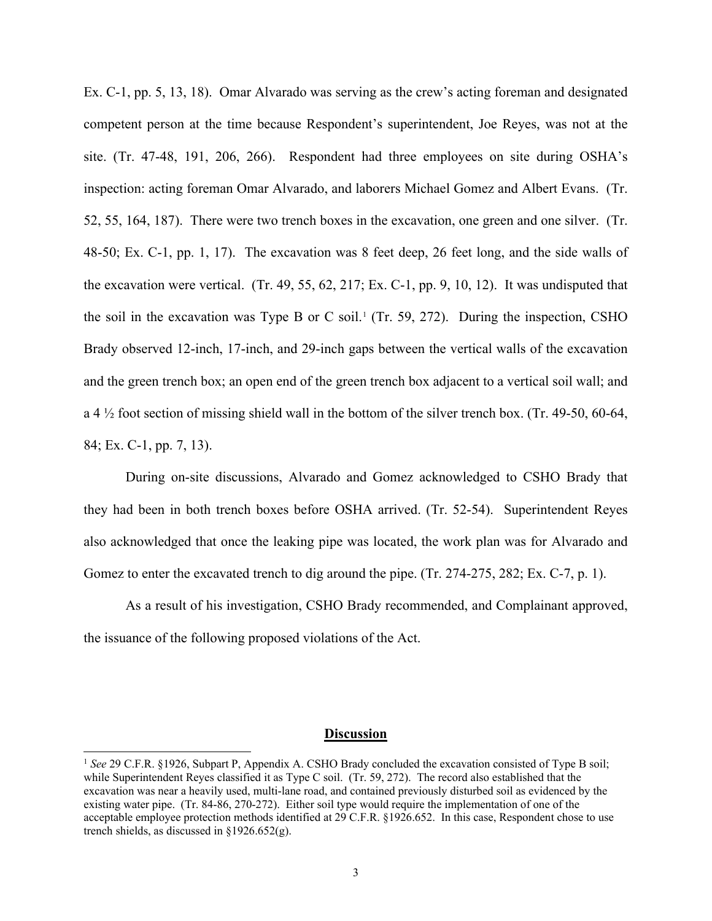Ex. C-1, pp. 5, 13, 18). Omar Alvarado was serving as the crew's acting foreman and designated competent person at the time because Respondent's superintendent, Joe Reyes, was not at the site. (Tr. 47-48, 191, 206, 266). Respondent had three employees on site during OSHA's inspection: acting foreman Omar Alvarado, and laborers Michael Gomez and Albert Evans. (Tr. 52, 55, 164, 187). There were two trench boxes in the excavation, one green and one silver. (Tr. 48-50; Ex. C-1, pp. 1, 17). The excavation was 8 feet deep, 26 feet long, and the side walls of the excavation were vertical. (Tr. 49, 55, 62, 217; Ex. C-1, pp. 9, 10, 12). It was undisputed that the soil in the excavation was Type B or C soil.<sup>[1](#page-2-0)</sup> (Tr. 59, 272). During the inspection, CSHO Brady observed 12-inch, 17-inch, and 29-inch gaps between the vertical walls of the excavation and the green trench box; an open end of the green trench box adjacent to a vertical soil wall; and a 4  $\frac{1}{2}$  foot section of missing shield wall in the bottom of the silver trench box. (Tr. 49-50, 60-64, 84; Ex. C-1, pp. 7, 13).

During on-site discussions, Alvarado and Gomez acknowledged to CSHO Brady that they had been in both trench boxes before OSHA arrived. (Tr. 52-54). Superintendent Reyes also acknowledged that once the leaking pipe was located, the work plan was for Alvarado and Gomez to enter the excavated trench to dig around the pipe. (Tr. 274-275, 282; Ex. C-7, p. 1).

As a result of his investigation, CSHO Brady recommended, and Complainant approved, the issuance of the following proposed violations of the Act.

#### **Discussion**

<span id="page-2-0"></span><sup>&</sup>lt;sup>1</sup> See 29 C.F.R. §1926, Subpart P, Appendix A. CSHO Brady concluded the excavation consisted of Type B soil; while Superintendent Reyes classified it as Type C soil. (Tr. 59, 272). The record also established that the excavation was near a heavily used, multi-lane road, and contained previously disturbed soil as evidenced by the existing water pipe. (Tr. 84-86, 270-272). Either soil type would require the implementation of one of the acceptable employee protection methods identified at 29 C.F.R. §1926.652. In this case, Respondent chose to use trench shields, as discussed in §1926.652(g).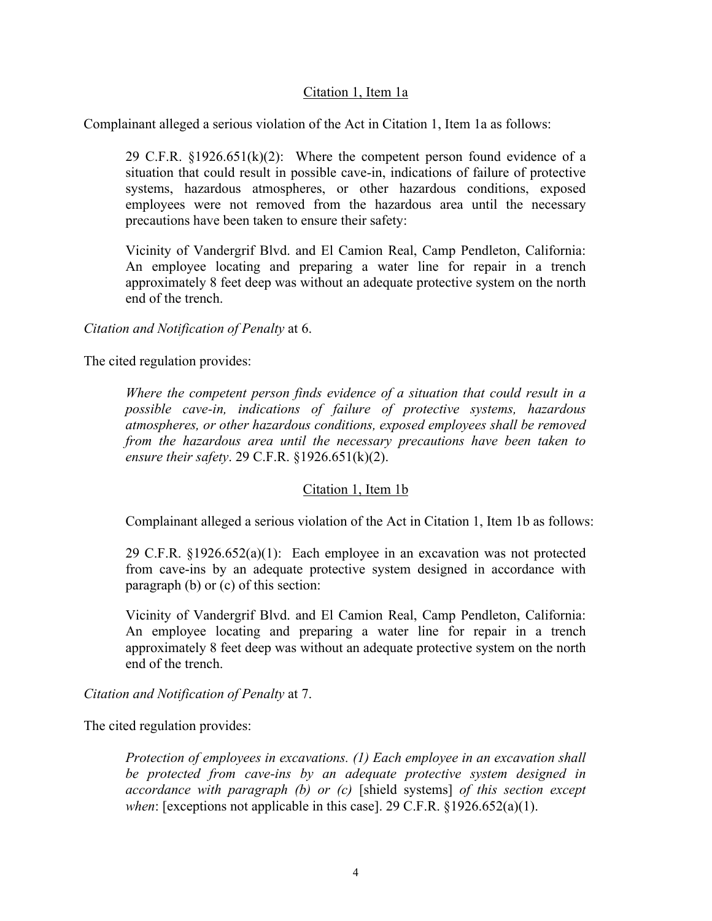## Citation 1, Item 1a

Complainant alleged a serious violation of the Act in Citation 1, Item 1a as follows:

29 C.F.R.  $\S 1926.651(k)(2)$ : Where the competent person found evidence of a situation that could result in possible cave-in, indications of failure of protective systems, hazardous atmospheres, or other hazardous conditions, exposed employees were not removed from the hazardous area until the necessary precautions have been taken to ensure their safety:

Vicinity of Vandergrif Blvd. and El Camion Real, Camp Pendleton, California: An employee locating and preparing a water line for repair in a trench approximately 8 feet deep was without an adequate protective system on the north end of the trench.

*Citation and Notification of Penalty* at 6.

The cited regulation provides:

*Where the competent person finds evidence of a situation that could result in a possible cave-in, indications of failure of protective systems, hazardous atmospheres, or other hazardous conditions, exposed employees shall be removed from the hazardous area until the necessary precautions have been taken to ensure their safety*. 29 C.F.R. §1926.651(k)(2).

## Citation 1, Item 1b

Complainant alleged a serious violation of the Act in Citation 1, Item 1b as follows:

29 C.F.R.  $\S 1926.652(a)(1)$ : Each employee in an excavation was not protected from cave-ins by an adequate protective system designed in accordance with paragraph (b) or (c) of this section:

Vicinity of Vandergrif Blvd. and El Camion Real, Camp Pendleton, California: An employee locating and preparing a water line for repair in a trench approximately 8 feet deep was without an adequate protective system on the north end of the trench.

*Citation and Notification of Penalty* at 7.

The cited regulation provides:

*Protection of employees in excavations. (1) Each employee in an excavation shall be protected from cave-ins by an adequate protective system designed in accordance with paragraph (b) or (c)* [shield systems] *of this section except when*: [exceptions not applicable in this case]. 29 C.F.R. §1926.652(a)(1).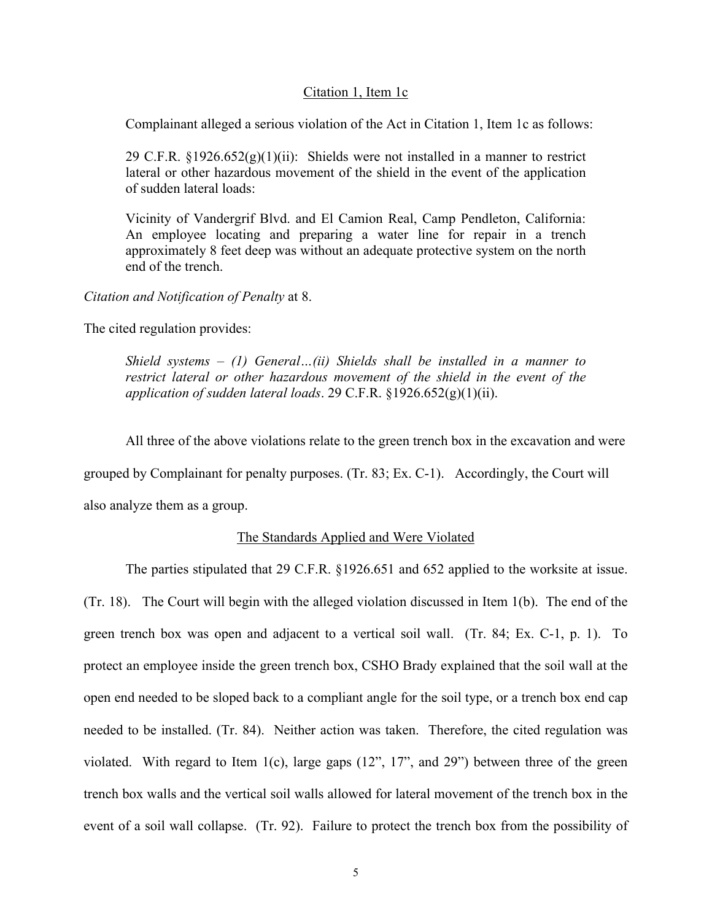## Citation 1, Item 1c

Complainant alleged a serious violation of the Act in Citation 1, Item 1c as follows:

29 C.F.R.  $\S 1926.652(g)(1)(ii)$ : Shields were not installed in a manner to restrict lateral or other hazardous movement of the shield in the event of the application of sudden lateral loads:

Vicinity of Vandergrif Blvd. and El Camion Real, Camp Pendleton, California: An employee locating and preparing a water line for repair in a trench approximately 8 feet deep was without an adequate protective system on the north end of the trench.

*Citation and Notification of Penalty* at 8.

The cited regulation provides:

*Shield systems – (1) General…(ii) Shields shall be installed in a manner to*  restrict lateral or other hazardous movement of the shield in the event of the *application of sudden lateral loads*. 29 C.F.R. §1926.652(g)(1)(ii).

All three of the above violations relate to the green trench box in the excavation and were

grouped by Complainant for penalty purposes. (Tr. 83; Ex. C-1). Accordingly, the Court will

also analyze them as a group.

### The Standards Applied and Were Violated

The parties stipulated that 29 C.F.R. §1926.651 and 652 applied to the worksite at issue. (Tr. 18). The Court will begin with the alleged violation discussed in Item 1(b). The end of the green trench box was open and adjacent to a vertical soil wall. (Tr. 84; Ex. C-1, p. 1). To protect an employee inside the green trench box, CSHO Brady explained that the soil wall at the open end needed to be sloped back to a compliant angle for the soil type, or a trench box end cap needed to be installed. (Tr. 84). Neither action was taken. Therefore, the cited regulation was violated. With regard to Item 1(c), large gaps (12", 17", and 29") between three of the green trench box walls and the vertical soil walls allowed for lateral movement of the trench box in the event of a soil wall collapse. (Tr. 92). Failure to protect the trench box from the possibility of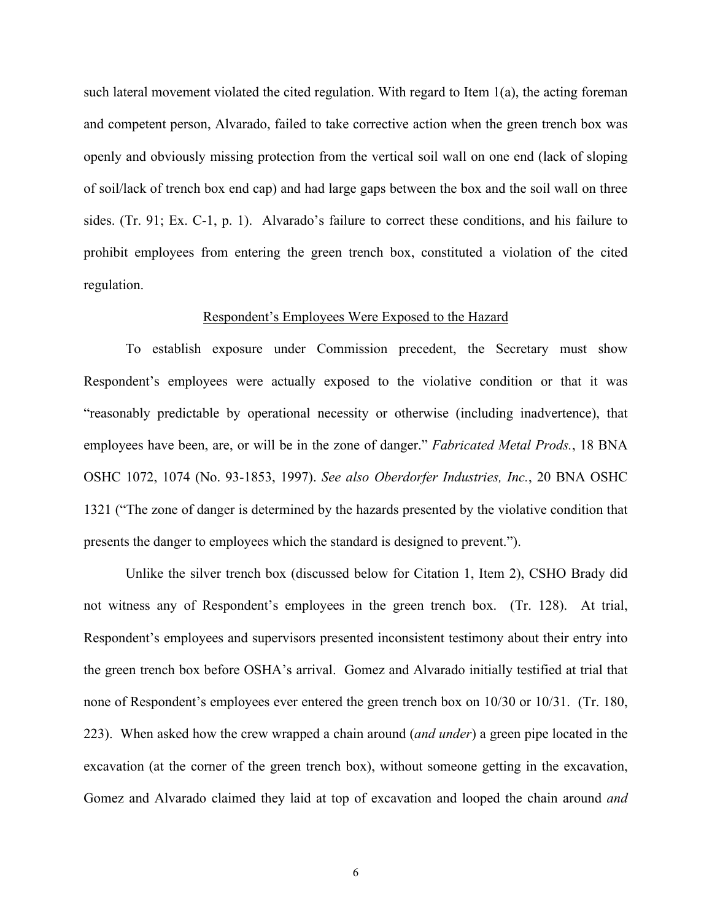such lateral movement violated the cited regulation. With regard to Item  $1(a)$ , the acting foreman and competent person, Alvarado, failed to take corrective action when the green trench box was openly and obviously missing protection from the vertical soil wall on one end (lack of sloping of soil/lack of trench box end cap) and had large gaps between the box and the soil wall on three sides. (Tr. 91; Ex. C-1, p. 1). Alvarado's failure to correct these conditions, and his failure to prohibit employees from entering the green trench box, constituted a violation of the cited regulation.

#### Respondent's Employees Were Exposed to the Hazard

To establish exposure under Commission precedent, the Secretary must show Respondent's employees were actually exposed to the violative condition or that it was "reasonably predictable by operational necessity or otherwise (including inadvertence), that employees have been, are, or will be in the zone of danger." *Fabricated Metal Prods.*, 18 BNA OSHC 1072, 1074 (No. 93-1853, 1997). *See also Oberdorfer Industries, Inc.*, 20 BNA OSHC 1321 ("The zone of danger is determined by the hazards presented by the violative condition that presents the danger to employees which the standard is designed to prevent.").

Unlike the silver trench box (discussed below for Citation 1, Item 2), CSHO Brady did not witness any of Respondent's employees in the green trench box. (Tr. 128). At trial, Respondent's employees and supervisors presented inconsistent testimony about their entry into the green trench box before OSHA's arrival. Gomez and Alvarado initially testified at trial that none of Respondent's employees ever entered the green trench box on 10/30 or 10/31. (Tr. 180, 223). When asked how the crew wrapped a chain around (*and under*) a green pipe located in the excavation (at the corner of the green trench box), without someone getting in the excavation, Gomez and Alvarado claimed they laid at top of excavation and looped the chain around *and*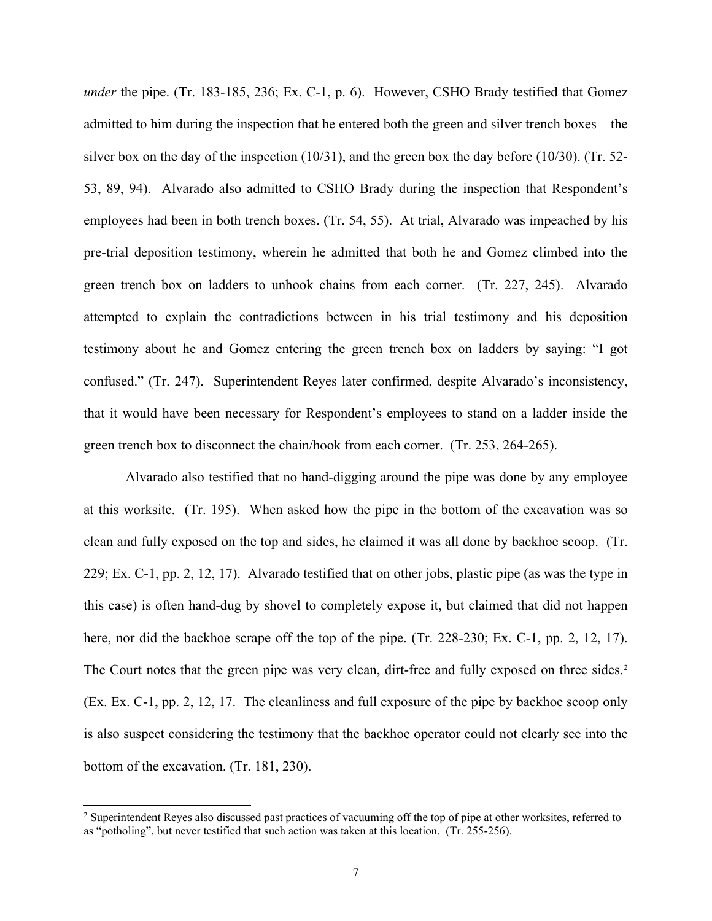*under* the pipe. (Tr. 183-185, 236; Ex. C-1, p. 6). However, CSHO Brady testified that Gomez admitted to him during the inspection that he entered both the green and silver trench boxes – the silver box on the day of the inspection  $(10/31)$ , and the green box the day before  $(10/30)$ . (Tr. 52-53, 89, 94). Alvarado also admitted to CSHO Brady during the inspection that Respondent's employees had been in both trench boxes. (Tr. 54, 55). At trial, Alvarado was impeached by his pre-trial deposition testimony, wherein he admitted that both he and Gomez climbed into the green trench box on ladders to unhook chains from each corner. (Tr. 227, 245). Alvarado attempted to explain the contradictions between in his trial testimony and his deposition testimony about he and Gomez entering the green trench box on ladders by saying: "I got confused." (Tr. 247). Superintendent Reyes later confirmed, despite Alvarado's inconsistency, that it would have been necessary for Respondent's employees to stand on a ladder inside the green trench box to disconnect the chain/hook from each corner. (Tr. 253, 264-265).

Alvarado also testified that no hand-digging around the pipe was done by any employee at this worksite. (Tr. 195). When asked how the pipe in the bottom of the excavation was so clean and fully exposed on the top and sides, he claimed it was all done by backhoe scoop. (Tr. 229; Ex. C-1, pp. 2, 12, 17). Alvarado testified that on other jobs, plastic pipe (as was the type in this case) is often hand-dug by shovel to completely expose it, but claimed that did not happen here, nor did the backhoe scrape off the top of the pipe. (Tr. 228-230; Ex. C-1, pp. 2, 12, 17). The Court notes that the green pipe was very clean, dirt-free and fully exposed on three sides.<sup>[2](#page-6-0)</sup> (Ex. Ex. C-1, pp. 2, 12, 17. The cleanliness and full exposure of the pipe by backhoe scoop only is also suspect considering the testimony that the backhoe operator could not clearly see into the bottom of the excavation. (Tr. 181, 230).

<span id="page-6-0"></span><sup>&</sup>lt;sup>2</sup> Superintendent Reyes also discussed past practices of vacuuming off the top of pipe at other worksites, referred to as "potholing", but never testified that such action was taken at this location. (Tr. 255-256).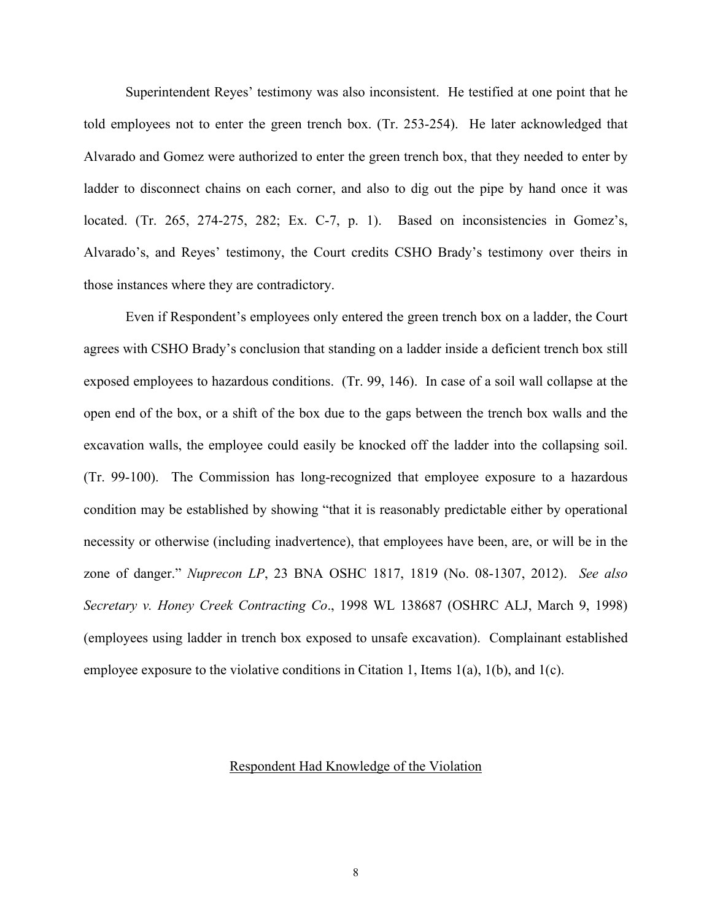Superintendent Reyes' testimony was also inconsistent. He testified at one point that he told employees not to enter the green trench box. (Tr. 253-254). He later acknowledged that Alvarado and Gomez were authorized to enter the green trench box, that they needed to enter by ladder to disconnect chains on each corner, and also to dig out the pipe by hand once it was located. (Tr. 265, 274-275, 282; Ex. C-7, p. 1). Based on inconsistencies in Gomez's, Alvarado's, and Reyes' testimony, the Court credits CSHO Brady's testimony over theirs in those instances where they are contradictory.

Even if Respondent's employees only entered the green trench box on a ladder, the Court agrees with CSHO Brady's conclusion that standing on a ladder inside a deficient trench box still exposed employees to hazardous conditions. (Tr. 99, 146). In case of a soil wall collapse at the open end of the box, or a shift of the box due to the gaps between the trench box walls and the excavation walls, the employee could easily be knocked off the ladder into the collapsing soil. (Tr. 99-100). The Commission has long-recognized that employee exposure to a hazardous condition may be established by showing "that it is reasonably predictable either by operational necessity or otherwise (including inadvertence), that employees have been, are, or will be in the zone of danger." *Nuprecon LP*, 23 BNA OSHC 1817, 1819 (No. 08-1307, 2012). *See also Secretary v. Honey Creek Contracting Co*., 1998 WL 138687 (OSHRC ALJ, March 9, 1998) (employees using ladder in trench box exposed to unsafe excavation). Complainant established employee exposure to the violative conditions in Citation 1, Items  $1(a)$ ,  $1(b)$ , and  $1(c)$ .

## Respondent Had Knowledge of the Violation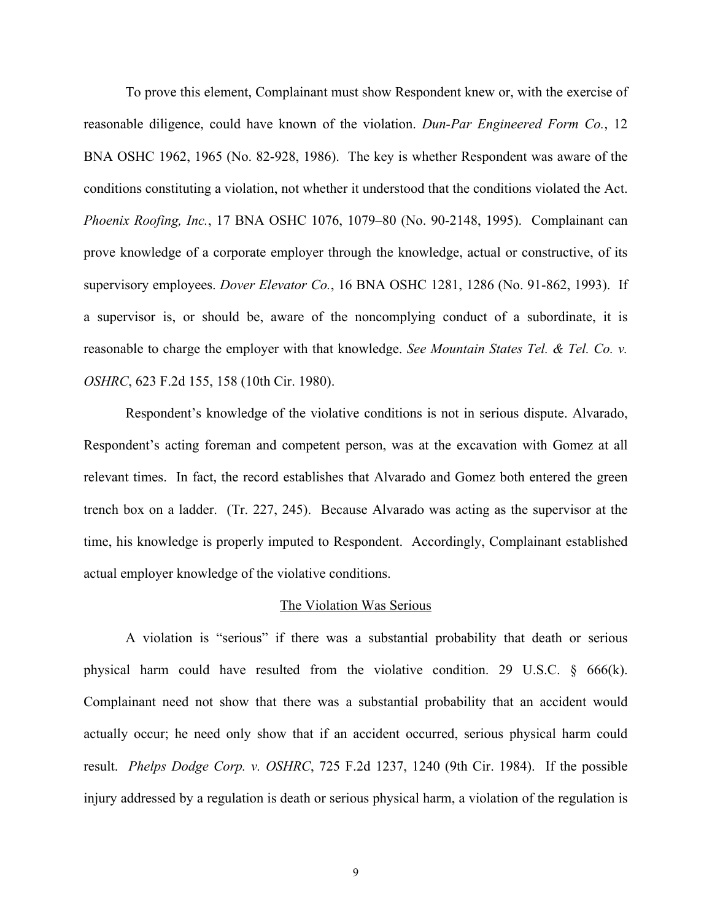To prove this element, Complainant must show Respondent knew or, with the exercise of reasonable diligence, could have known of the violation. *Dun-Par Engineered Form Co.*, 12 BNA OSHC 1962, 1965 (No. 82-928, 1986). The key is whether Respondent was aware of the conditions constituting a violation, not whether it understood that the conditions violated the Act. *Phoenix Roofing, Inc.*, 17 BNA OSHC 1076, 1079–80 (No. 90-2148, 1995). Complainant can prove knowledge of a corporate employer through the knowledge, actual or constructive, of its supervisory employees. *Dover Elevator Co.*, 16 BNA OSHC 1281, 1286 (No. 91-862, 1993). If a supervisor is, or should be, aware of the noncomplying conduct of a subordinate, it is reasonable to charge the employer with that knowledge. *See Mountain States Tel. & Tel. Co. v. OSHRC*, 623 F.2d 155, 158 (10th Cir. 1980).

Respondent's knowledge of the violative conditions is not in serious dispute. Alvarado, Respondent's acting foreman and competent person, was at the excavation with Gomez at all relevant times. In fact, the record establishes that Alvarado and Gomez both entered the green trench box on a ladder. (Tr. 227, 245). Because Alvarado was acting as the supervisor at the time, his knowledge is properly imputed to Respondent. Accordingly, Complainant established actual employer knowledge of the violative conditions.

### The Violation Was Serious

A violation is "serious" if there was a substantial probability that death or serious physical harm could have resulted from the violative condition. 29 U.S.C. § 666(k). Complainant need not show that there was a substantial probability that an accident would actually occur; he need only show that if an accident occurred, serious physical harm could result. *Phelps Dodge Corp. v. OSHRC*, 725 F.2d 1237, 1240 (9th Cir. 1984). If the possible injury addressed by a regulation is death or serious physical harm, a violation of the regulation is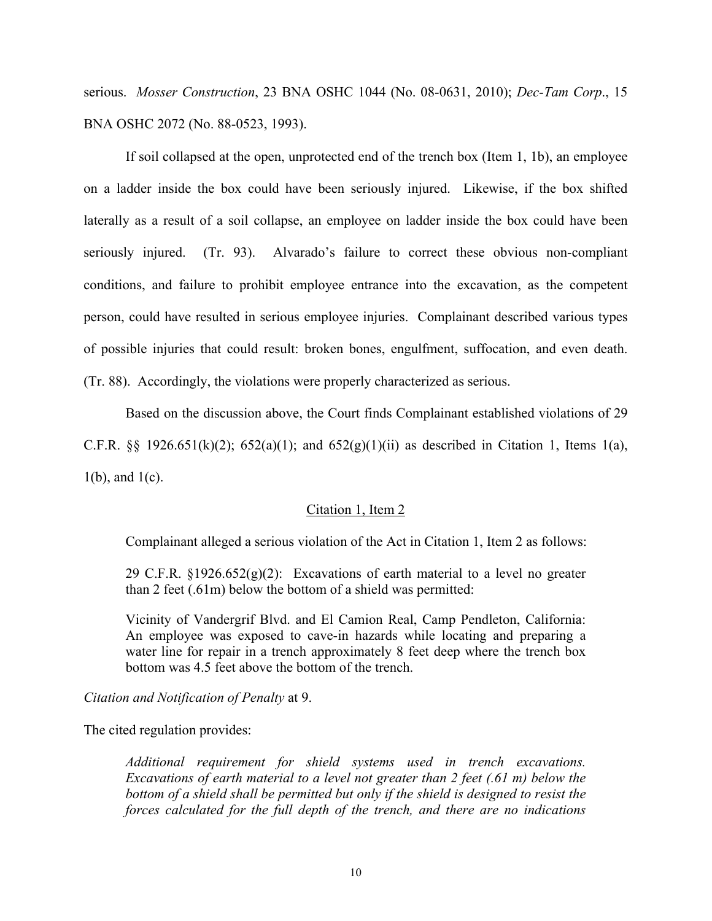serious. *Mosser Construction*, 23 BNA OSHC 1044 (No. 08-0631, 2010); *Dec-Tam Corp*., 15 BNA OSHC 2072 (No. 88-0523, 1993).

If soil collapsed at the open, unprotected end of the trench box (Item 1, 1b), an employee on a ladder inside the box could have been seriously injured. Likewise, if the box shifted laterally as a result of a soil collapse, an employee on ladder inside the box could have been seriously injured. (Tr. 93). Alvarado's failure to correct these obvious non-compliant conditions, and failure to prohibit employee entrance into the excavation, as the competent person, could have resulted in serious employee injuries. Complainant described various types of possible injuries that could result: broken bones, engulfment, suffocation, and even death. (Tr. 88). Accordingly, the violations were properly characterized as serious.

Based on the discussion above, the Court finds Complainant established violations of 29 C.F.R. §§ 1926.651(k)(2); 652(a)(1); and 652(g)(1)(ii) as described in Citation 1, Items 1(a),  $1(b)$ , and  $1(c)$ .

## Citation 1, Item 2

Complainant alleged a serious violation of the Act in Citation 1, Item 2 as follows:

29 C.F.R.  $\S 1926.652(g)(2)$ : Excavations of earth material to a level no greater than 2 feet (.61m) below the bottom of a shield was permitted:

Vicinity of Vandergrif Blvd. and El Camion Real, Camp Pendleton, California: An employee was exposed to cave-in hazards while locating and preparing a water line for repair in a trench approximately 8 feet deep where the trench box bottom was 4.5 feet above the bottom of the trench.

*Citation and Notification of Penalty* at 9.

The cited regulation provides:

*Additional requirement for shield systems used in trench excavations. Excavations of earth material to a level not greater than 2 feet (.61 m) below the bottom of a shield shall be permitted but only if the shield is designed to resist the forces calculated for the full depth of the trench, and there are no indications*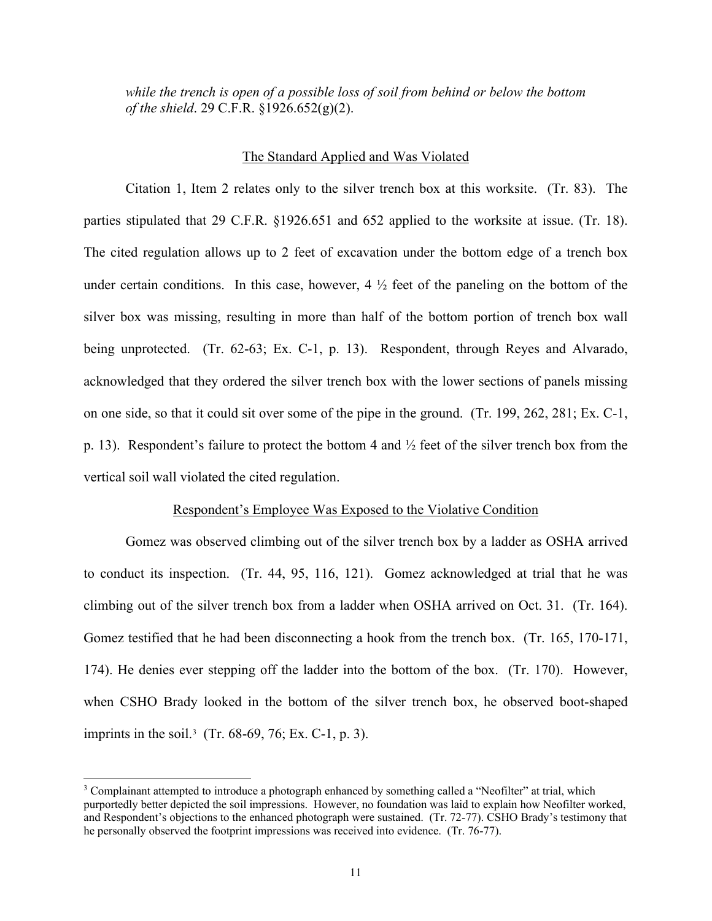*while the trench is open of a possible loss of soil from behind or below the bottom of the shield*. 29 C.F.R. §1926.652(g)(2).

#### The Standard Applied and Was Violated

Citation 1, Item 2 relates only to the silver trench box at this worksite. (Tr. 83). The parties stipulated that 29 C.F.R. §1926.651 and 652 applied to the worksite at issue. (Tr. 18). The cited regulation allows up to 2 feet of excavation under the bottom edge of a trench box under certain conditions. In this case, however,  $4 \frac{1}{2}$  feet of the paneling on the bottom of the silver box was missing, resulting in more than half of the bottom portion of trench box wall being unprotected. (Tr. 62-63; Ex. C-1, p. 13). Respondent, through Reyes and Alvarado, acknowledged that they ordered the silver trench box with the lower sections of panels missing on one side, so that it could sit over some of the pipe in the ground. (Tr. 199, 262, 281; Ex. C-1, p. 13). Respondent's failure to protect the bottom 4 and  $\frac{1}{2}$  feet of the silver trench box from the vertical soil wall violated the cited regulation.

#### Respondent's Employee Was Exposed to the Violative Condition

Gomez was observed climbing out of the silver trench box by a ladder as OSHA arrived to conduct its inspection. (Tr. 44, 95, 116, 121). Gomez acknowledged at trial that he was climbing out of the silver trench box from a ladder when OSHA arrived on Oct. 31. (Tr. 164). Gomez testified that he had been disconnecting a hook from the trench box. (Tr. 165, 170-171, 174). He denies ever stepping off the ladder into the bottom of the box. (Tr. 170). However, when CSHO Brady looked in the bottom of the silver trench box, he observed boot-shaped imprints in the soil.<sup>[3](#page-10-0)</sup> (Tr. 68-69, 76; Ex. C-1, p. 3).

<span id="page-10-0"></span><sup>3</sup> Complainant attempted to introduce a photograph enhanced by something called a "Neofilter" at trial, which purportedly better depicted the soil impressions. However, no foundation was laid to explain how Neofilter worked, and Respondent's objections to the enhanced photograph were sustained. (Tr. 72-77). CSHO Brady's testimony that he personally observed the footprint impressions was received into evidence. (Tr. 76-77).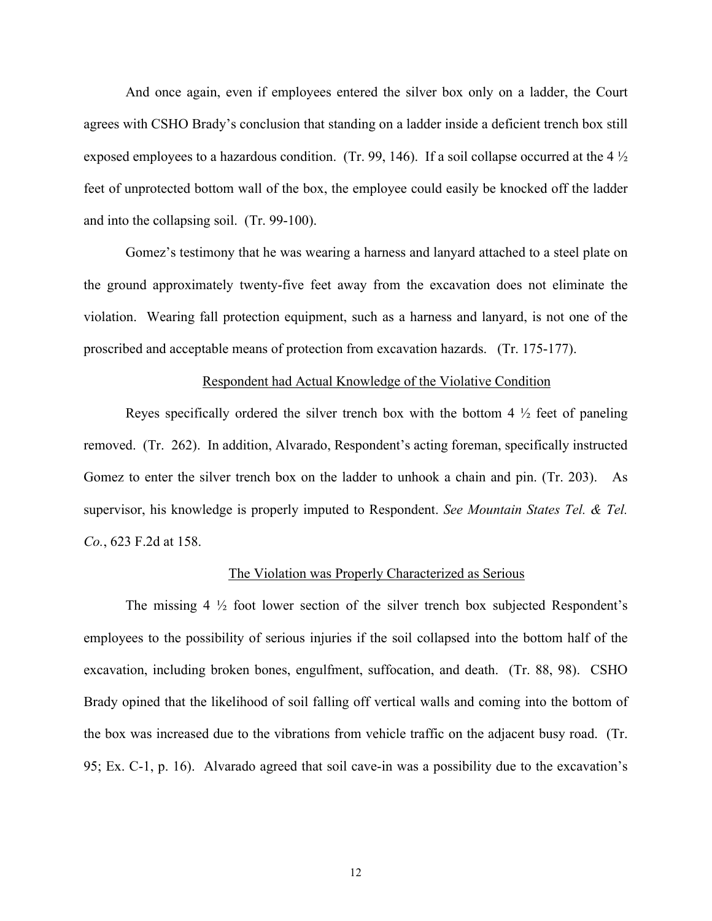And once again, even if employees entered the silver box only on a ladder, the Court agrees with CSHO Brady's conclusion that standing on a ladder inside a deficient trench box still exposed employees to a hazardous condition. (Tr. 99, 146). If a soil collapse occurred at the 4  $\frac{1}{2}$ feet of unprotected bottom wall of the box, the employee could easily be knocked off the ladder and into the collapsing soil. (Tr. 99-100).

Gomez's testimony that he was wearing a harness and lanyard attached to a steel plate on the ground approximately twenty-five feet away from the excavation does not eliminate the violation. Wearing fall protection equipment, such as a harness and lanyard, is not one of the proscribed and acceptable means of protection from excavation hazards. (Tr. 175-177).

#### Respondent had Actual Knowledge of the Violative Condition

Reyes specifically ordered the silver trench box with the bottom 4  $\frac{1}{2}$  feet of paneling removed. (Tr. 262). In addition, Alvarado, Respondent's acting foreman, specifically instructed Gomez to enter the silver trench box on the ladder to unhook a chain and pin. (Tr. 203). As supervisor, his knowledge is properly imputed to Respondent. *See Mountain States Tel. & Tel. Co.*, 623 F.2d at 158.

#### The Violation was Properly Characterized as Serious

The missing  $4\frac{1}{2}$  foot lower section of the silver trench box subjected Respondent's employees to the possibility of serious injuries if the soil collapsed into the bottom half of the excavation, including broken bones, engulfment, suffocation, and death. (Tr. 88, 98). CSHO Brady opined that the likelihood of soil falling off vertical walls and coming into the bottom of the box was increased due to the vibrations from vehicle traffic on the adjacent busy road. (Tr. 95; Ex. C-1, p. 16). Alvarado agreed that soil cave-in was a possibility due to the excavation's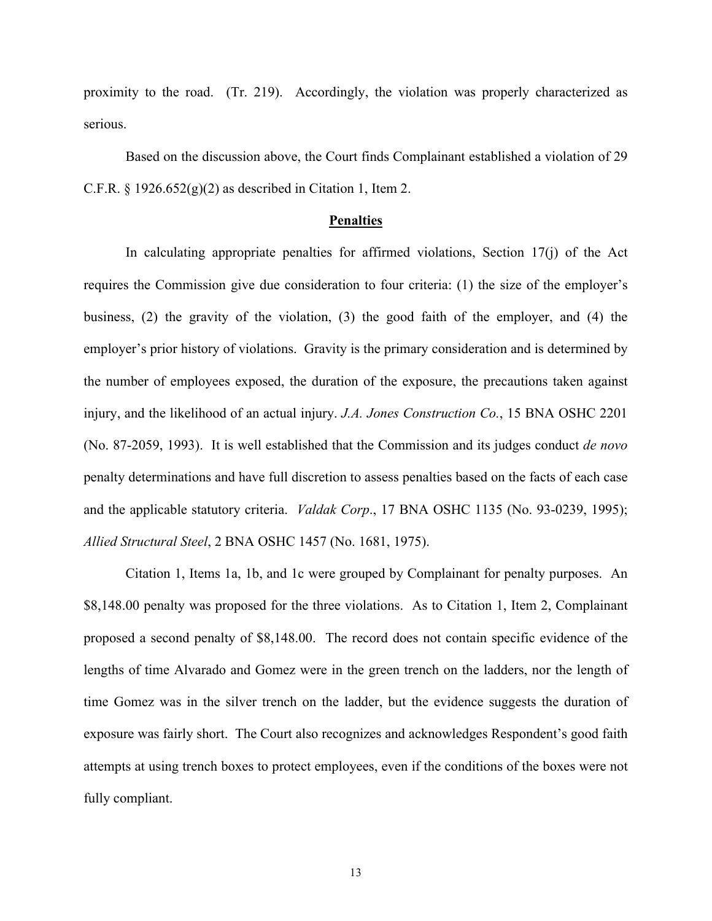proximity to the road. (Tr. 219). Accordingly, the violation was properly characterized as serious.

Based on the discussion above, the Court finds Complainant established a violation of 29 C.F.R.  $\S$  1926.652(g)(2) as described in Citation 1, Item 2.

#### **Penalties**

In calculating appropriate penalties for affirmed violations, Section  $17(i)$  of the Act requires the Commission give due consideration to four criteria: (1) the size of the employer's business, (2) the gravity of the violation, (3) the good faith of the employer, and (4) the employer's prior history of violations. Gravity is the primary consideration and is determined by the number of employees exposed, the duration of the exposure, the precautions taken against injury, and the likelihood of an actual injury. *J.A. Jones Construction Co.*, 15 BNA OSHC 2201 (No. 87-2059, 1993). It is well established that the Commission and its judges conduct *de novo* penalty determinations and have full discretion to assess penalties based on the facts of each case and the applicable statutory criteria. *Valdak Corp*., 17 BNA OSHC 1135 (No. 93-0239, 1995); *Allied Structural Steel*, 2 BNA OSHC 1457 (No. 1681, 1975).

Citation 1, Items 1a, 1b, and 1c were grouped by Complainant for penalty purposes. An \$8,148.00 penalty was proposed for the three violations. As to Citation 1, Item 2, Complainant proposed a second penalty of \$8,148.00. The record does not contain specific evidence of the lengths of time Alvarado and Gomez were in the green trench on the ladders, nor the length of time Gomez was in the silver trench on the ladder, but the evidence suggests the duration of exposure was fairly short. The Court also recognizes and acknowledges Respondent's good faith attempts at using trench boxes to protect employees, even if the conditions of the boxes were not fully compliant.